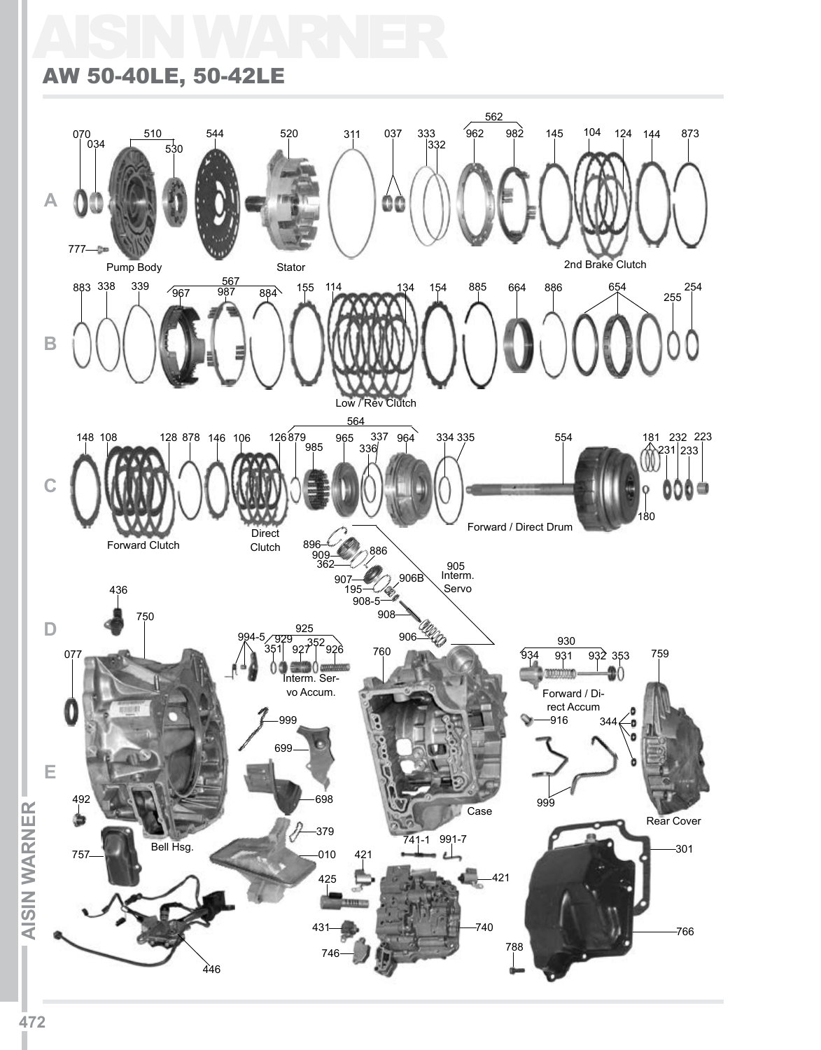# AISIN WARNER

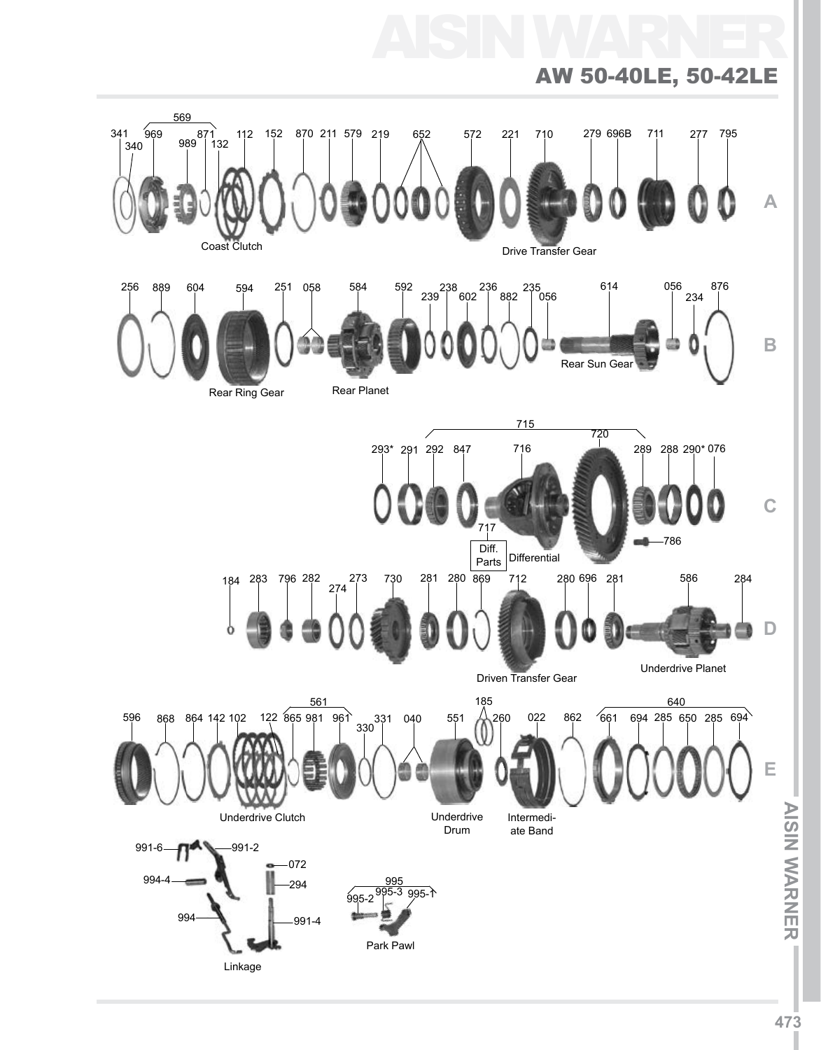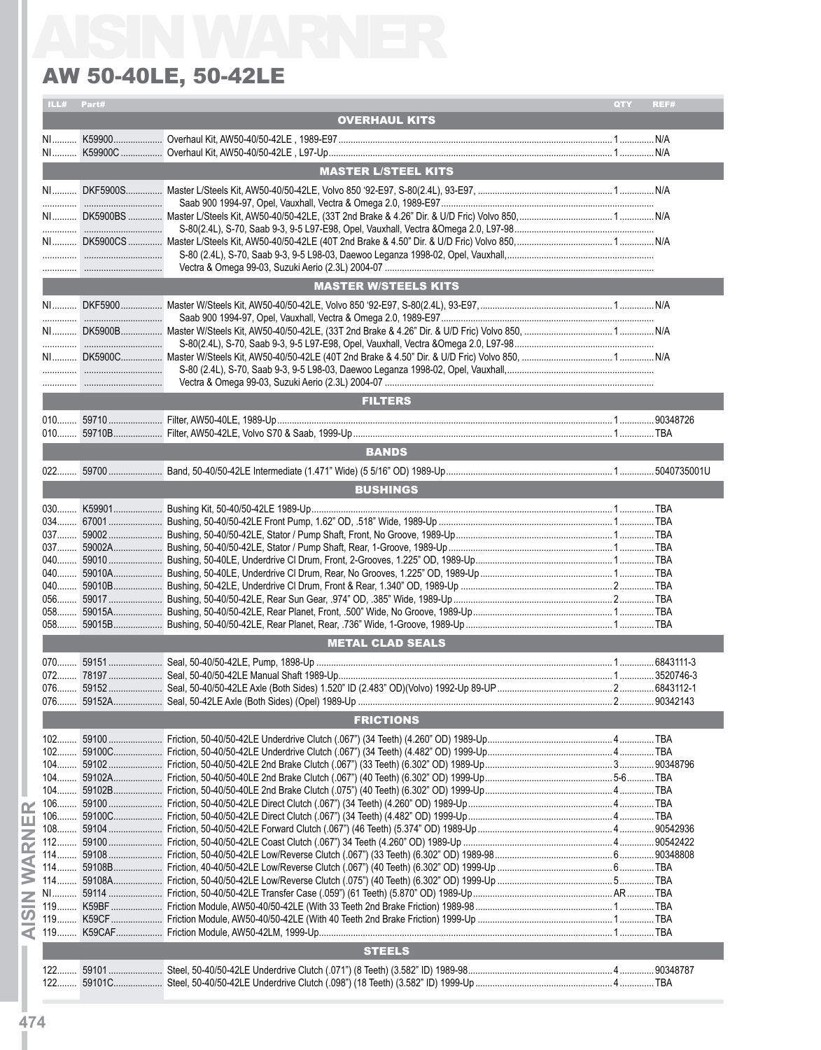|       |            | <b>AW 50-40LE, 50-42LE</b>  |             |
|-------|------------|-----------------------------|-------------|
|       | ILL# Part# |                             | REF#<br>QTY |
|       |            | <b>OVERHAUL KITS</b>        |             |
|       |            |                             |             |
|       |            |                             |             |
|       |            | <b>MASTER L/STEEL KITS</b>  |             |
|       |            |                             |             |
|       |            |                             |             |
|       |            |                             |             |
|       |            |                             |             |
|       |            |                             |             |
|       |            | <b>MASTER W/STEELS KITS</b> |             |
|       |            |                             |             |
|       |            |                             |             |
|       |            |                             |             |
|       |            |                             |             |
|       |            |                             |             |
|       |            |                             |             |
|       |            | <b>FILTERS</b>              |             |
|       |            |                             |             |
|       |            |                             |             |
|       |            | <b>BANDS</b>                |             |
|       |            |                             |             |
|       |            | <b>BUSHINGS</b>             |             |
|       |            |                             |             |
|       |            |                             |             |
|       |            |                             |             |
|       |            |                             |             |
|       |            |                             |             |
|       |            |                             |             |
|       |            |                             |             |
| $058$ | 59015A     |                             |             |
|       |            |                             |             |
|       |            | <b>METAL CLAD SEALS</b>     |             |
|       |            |                             |             |
| $072$ |            |                             |             |
|       |            |                             |             |
|       |            | <b>FRICTIONS</b>            |             |
|       |            |                             |             |
|       |            |                             |             |
|       |            |                             |             |
|       |            |                             |             |
|       |            |                             |             |
|       |            |                             |             |
|       |            |                             |             |
|       |            |                             |             |
|       |            |                             |             |
|       |            |                             |             |
|       |            |                             |             |
|       |            |                             |             |
|       |            |                             |             |
|       |            |                             |             |
|       |            |                             |             |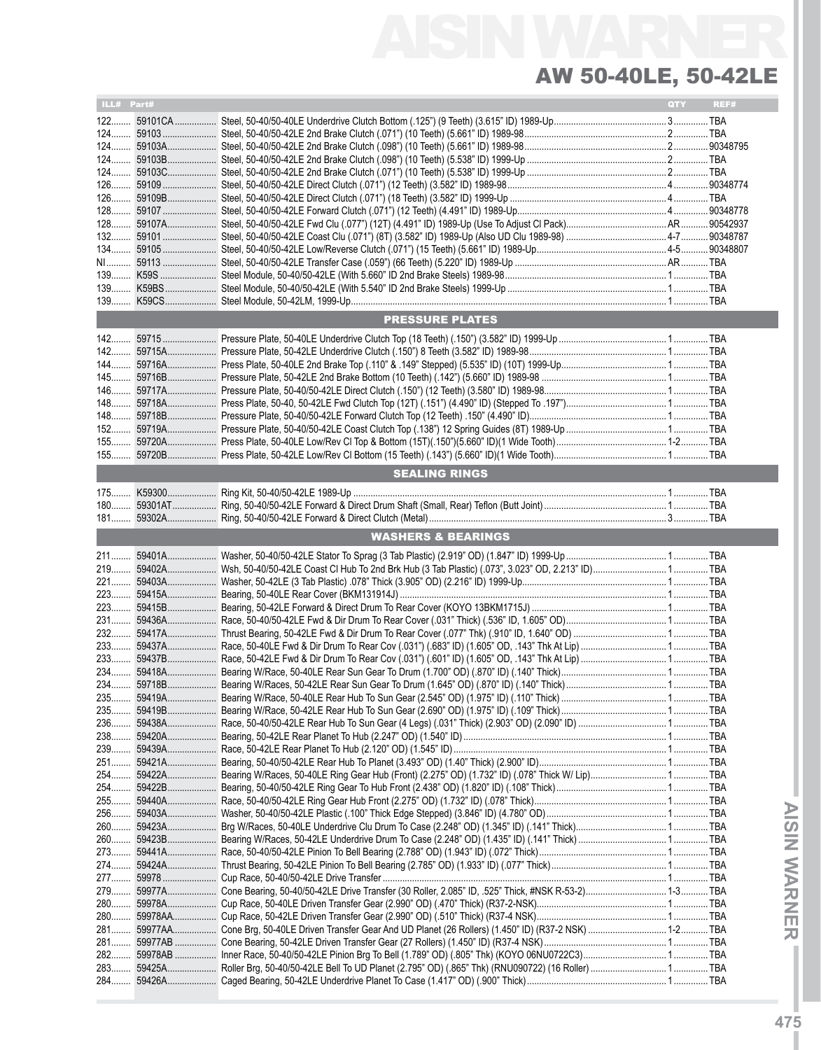## AISIN WARNER AW 50-40LE, 50-42LE

| ILL# Part# |                               | QTY |      |
|------------|-------------------------------|-----|------|
|            |                               |     | REF# |
|            |                               |     |      |
|            |                               |     |      |
|            |                               |     |      |
|            |                               |     |      |
|            |                               |     |      |
|            |                               |     |      |
|            |                               |     |      |
|            |                               |     |      |
|            |                               |     |      |
|            |                               |     |      |
|            |                               |     |      |
|            |                               |     |      |
|            |                               |     |      |
|            |                               |     |      |
|            |                               |     |      |
|            |                               |     |      |
|            |                               |     |      |
|            | <b>PRESSURE PLATES</b>        |     |      |
|            |                               |     |      |
|            |                               |     |      |
|            |                               |     |      |
|            |                               |     |      |
|            |                               |     |      |
|            |                               |     |      |
|            |                               |     |      |
|            |                               |     |      |
|            |                               |     |      |
|            |                               |     |      |
|            |                               |     |      |
|            | <b>SEALING RINGS</b>          |     |      |
|            |                               |     |      |
|            |                               |     |      |
|            |                               |     |      |
|            |                               |     |      |
|            | <b>WASHERS &amp; BEARINGS</b> |     |      |
|            |                               |     |      |
|            |                               |     |      |
| $219$      |                               |     |      |
|            |                               |     |      |
|            |                               |     |      |
|            |                               |     |      |
|            |                               |     |      |
|            |                               |     |      |
|            |                               |     |      |
|            |                               |     |      |
|            |                               |     |      |
|            |                               |     |      |
|            |                               |     |      |
|            |                               |     |      |
|            |                               |     |      |
|            |                               |     |      |
|            |                               |     |      |
|            |                               |     |      |
|            |                               |     |      |
|            |                               |     |      |
|            |                               |     |      |
|            |                               |     |      |
|            |                               |     |      |
|            |                               |     |      |
|            |                               |     |      |
|            |                               |     |      |
|            |                               |     |      |
|            |                               |     |      |
|            |                               |     |      |
|            |                               |     |      |
|            |                               |     |      |
|            |                               |     |      |
|            |                               |     |      |
|            |                               |     |      |
|            |                               |     |      |
|            |                               |     |      |
|            |                               |     |      |
|            |                               |     |      |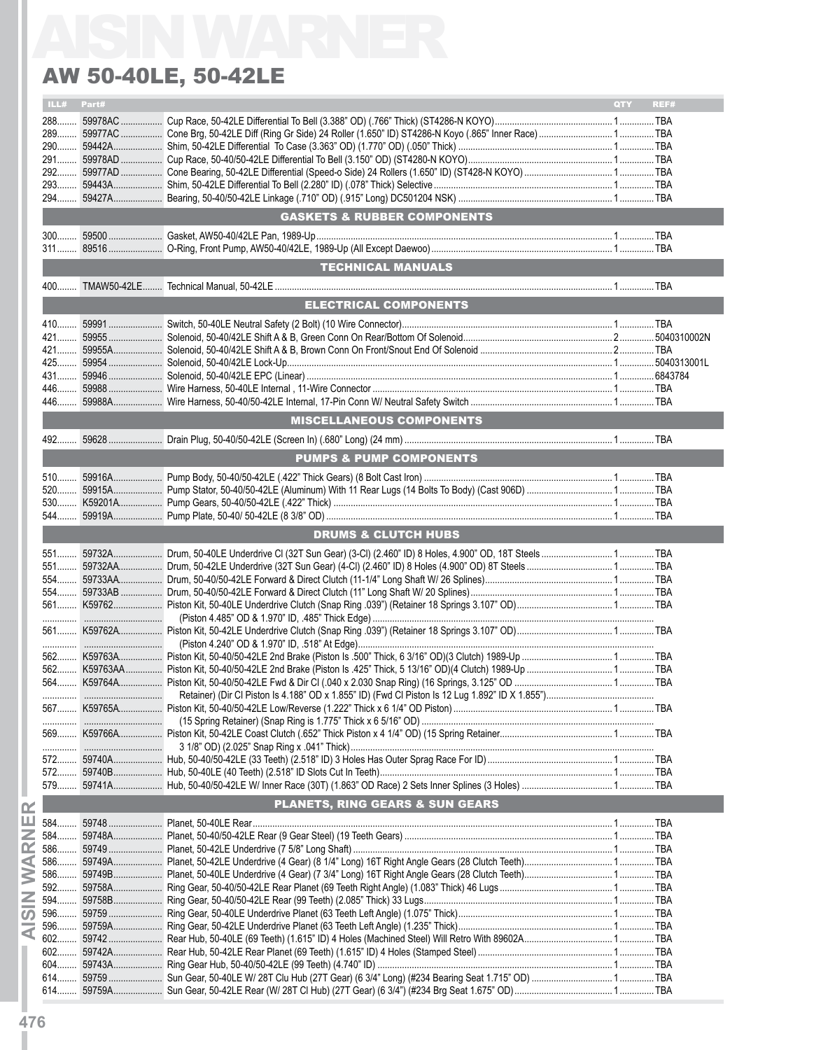|            | <b>AW 50-40LE, 50-42LE</b>                 |                    |
|------------|--------------------------------------------|--------------------|
| ILL# Part# |                                            | <b>OTY</b><br>REF# |
|            |                                            |                    |
|            |                                            |                    |
|            |                                            |                    |
|            |                                            |                    |
|            |                                            |                    |
|            |                                            |                    |
|            | <b>GASKETS &amp; RUBBER COMPONENTS</b>     |                    |
|            |                                            |                    |
|            |                                            |                    |
|            | <b>TECHNICAL MANUALS</b>                   |                    |
|            |                                            |                    |
|            | <b>ELECTRICAL COMPONENTS</b>               |                    |
|            |                                            |                    |
|            |                                            |                    |
|            |                                            |                    |
|            |                                            |                    |
|            |                                            |                    |
|            |                                            |                    |
|            | <b>MISCELLANEOUS COMPONENTS</b>            |                    |
|            |                                            |                    |
|            | <b>PUMPS &amp; PUMP COMPONENTS</b>         |                    |
|            |                                            |                    |
|            |                                            |                    |
|            |                                            |                    |
|            |                                            |                    |
|            | <b>DRUMS &amp; CLUTCH HUBS</b>             |                    |
|            |                                            |                    |
|            |                                            |                    |
|            |                                            |                    |
|            |                                            |                    |
|            |                                            |                    |
|            |                                            |                    |
|            |                                            |                    |
|            |                                            |                    |
|            |                                            |                    |
|            |                                            |                    |
|            |                                            |                    |
|            |                                            |                    |
|            |                                            |                    |
|            |                                            |                    |
|            |                                            |                    |
|            |                                            |                    |
|            | <b>PLANETS, RING GEARS &amp; SUN GEARS</b> |                    |
|            |                                            |                    |
|            |                                            |                    |
|            |                                            |                    |
|            |                                            |                    |
|            |                                            |                    |
|            |                                            |                    |
|            |                                            |                    |
|            |                                            |                    |
|            |                                            |                    |
|            |                                            |                    |
|            |                                            |                    |
|            |                                            |                    |
|            |                                            |                    |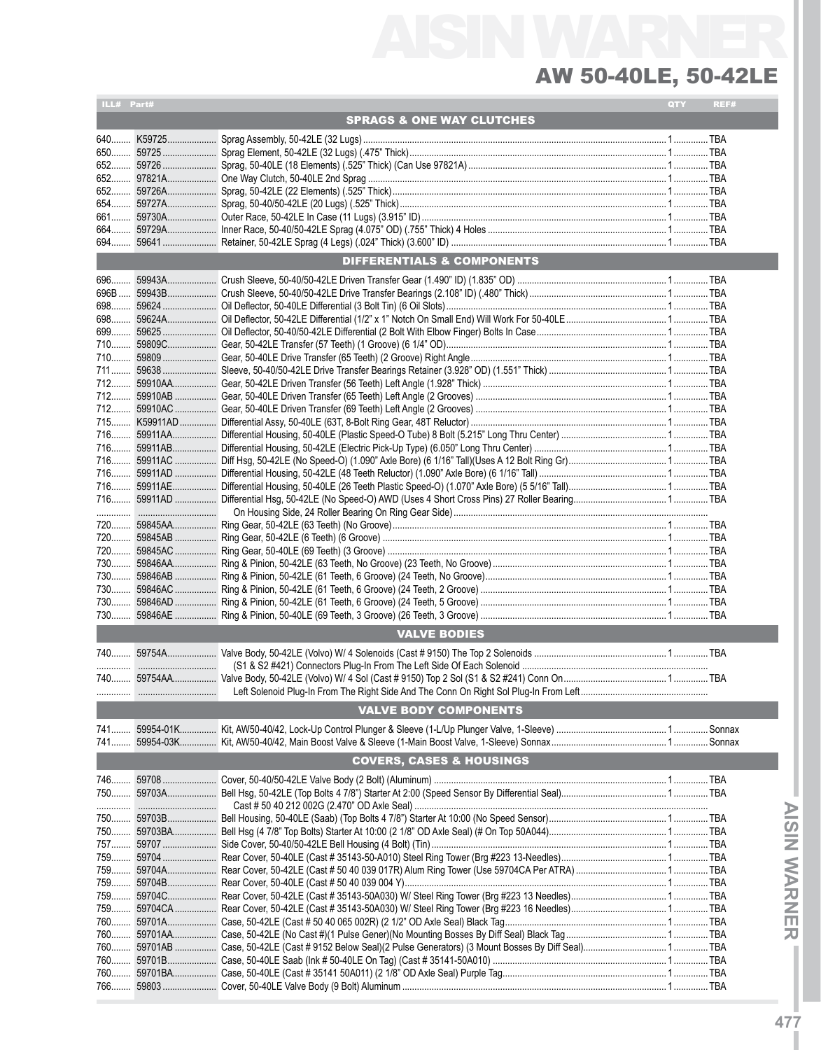## AISIN WARNER AW 50-40LE, 50-42LE

| ILL# Part# |                                      | QTY | REF# |
|------------|--------------------------------------|-----|------|
|            | <b>SPRAGS &amp; ONE WAY CLUTCHES</b> |     |      |
|            |                                      |     |      |
|            |                                      |     |      |
|            |                                      |     |      |
|            |                                      |     |      |
|            |                                      |     |      |
|            |                                      |     |      |
|            |                                      |     |      |
|            |                                      |     |      |
|            |                                      |     |      |
|            |                                      |     |      |
|            | DIFFERENTIALS & COMPONENTS           |     |      |
| 696        |                                      |     |      |
|            |                                      |     |      |
|            |                                      |     |      |
|            |                                      |     |      |
| 699        |                                      |     |      |
| 710        |                                      |     |      |
|            |                                      |     |      |
|            |                                      |     |      |
|            |                                      |     |      |
|            |                                      |     |      |
|            |                                      |     |      |
|            |                                      |     |      |
|            |                                      |     |      |
|            |                                      |     |      |
|            |                                      |     |      |
|            |                                      |     |      |
|            |                                      |     |      |
|            |                                      |     |      |
|            |                                      |     |      |
|            |                                      |     |      |
|            |                                      |     |      |
|            |                                      |     |      |
|            |                                      |     |      |
|            |                                      |     |      |
|            |                                      |     |      |
|            |                                      |     |      |
|            |                                      |     |      |
|            |                                      |     |      |
|            | <b>VALVE BODIES</b>                  |     |      |
|            |                                      |     |      |
|            |                                      |     |      |
|            |                                      |     |      |
|            |                                      |     |      |
|            | <b>VALVE BODY COMPONENTS</b>         |     |      |
| 741        |                                      |     |      |
|            | <b>COVERS, CASES &amp; HOUSINGS</b>  |     |      |
|            |                                      |     |      |
|            |                                      |     |      |
|            |                                      |     |      |
|            |                                      |     |      |
|            |                                      |     |      |
|            |                                      |     |      |
|            |                                      |     |      |
|            |                                      |     |      |
|            |                                      |     |      |
|            |                                      |     |      |
|            |                                      |     |      |
|            |                                      |     |      |
|            |                                      |     |      |
|            |                                      |     |      |
| 760        |                                      |     |      |
| 760        |                                      |     |      |
|            |                                      |     |      |
|            |                                      |     |      |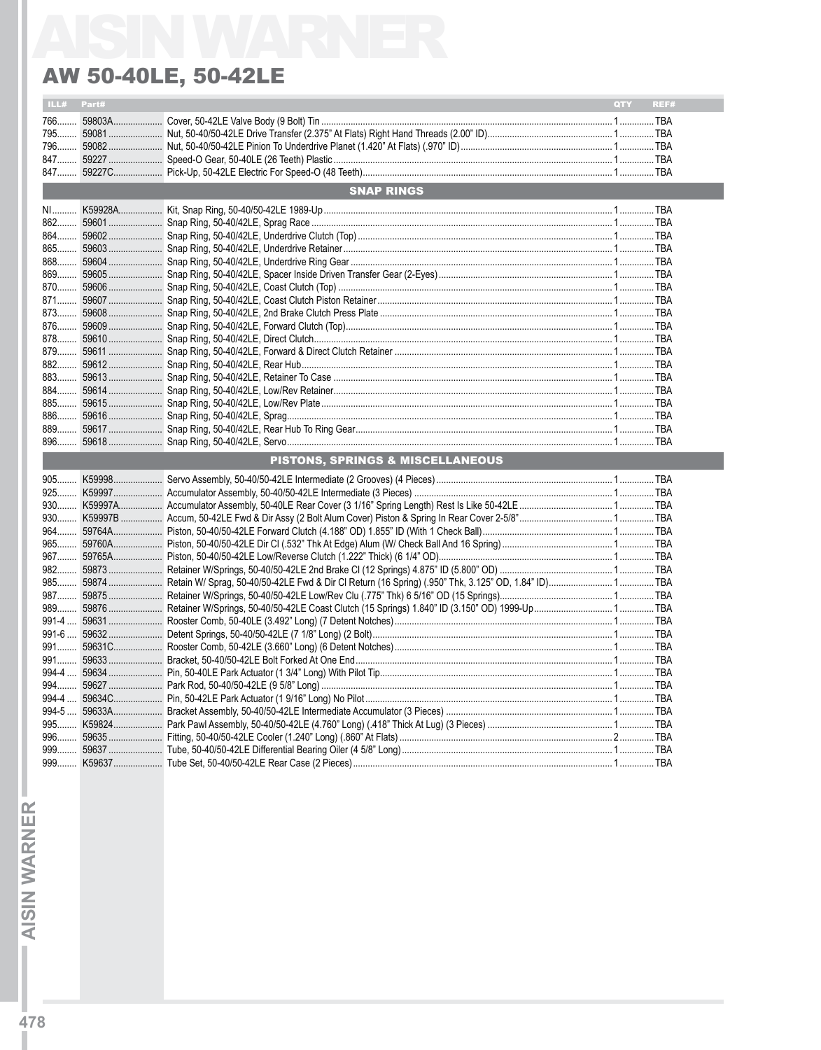### **AW 50-40LE, 50-42LE**

| ILL#  | Part# |                                  | QTY | REF# |
|-------|-------|----------------------------------|-----|------|
| 766   |       |                                  |     |      |
|       |       |                                  |     |      |
|       |       |                                  |     |      |
|       |       |                                  |     |      |
|       |       |                                  |     |      |
|       |       | <b>SNAP RINGS</b>                |     |      |
| NI    |       |                                  |     |      |
|       |       |                                  |     |      |
|       |       |                                  |     |      |
|       |       |                                  |     |      |
|       |       |                                  |     |      |
|       |       |                                  |     |      |
| $870$ |       |                                  |     |      |
|       |       |                                  |     |      |
|       |       |                                  |     |      |
|       |       |                                  |     |      |
|       |       |                                  |     |      |
|       |       |                                  |     |      |
|       |       |                                  |     |      |
|       |       |                                  |     |      |
|       |       |                                  |     |      |
|       |       |                                  |     |      |
|       |       |                                  |     |      |
|       |       |                                  |     |      |
|       |       |                                  |     |      |
| $896$ |       |                                  |     |      |
|       |       | PISTONS, SPRINGS & MISCELLANEOUS |     |      |
|       |       |                                  |     |      |
|       |       |                                  |     |      |
|       |       |                                  |     |      |
|       |       |                                  |     |      |
|       |       |                                  |     |      |
|       |       |                                  |     |      |
|       |       |                                  |     |      |
|       |       |                                  |     |      |
|       |       |                                  |     |      |
|       |       |                                  |     |      |
|       |       |                                  |     |      |
|       |       |                                  |     |      |
|       |       |                                  |     |      |
|       |       |                                  |     |      |
|       |       |                                  |     |      |
|       |       |                                  |     |      |
|       |       |                                  |     |      |
|       |       |                                  |     |      |
|       |       |                                  |     |      |
|       |       |                                  |     |      |
|       |       |                                  |     |      |
|       |       |                                  |     |      |
|       |       |                                  |     |      |
|       |       |                                  |     |      |

**AISIN WARNER -**